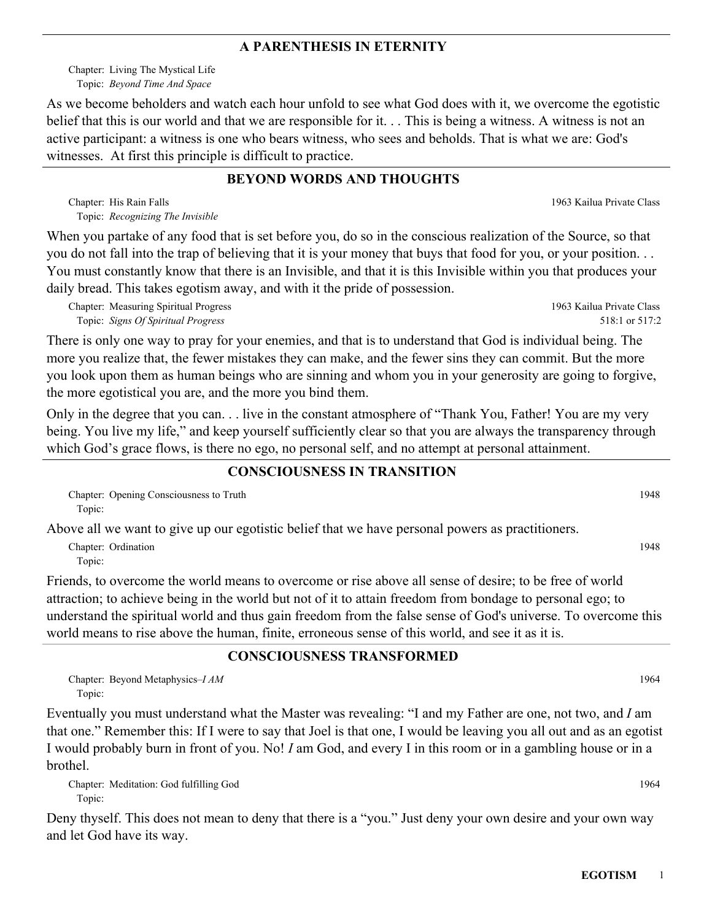#### **A PARENTHESIS IN ETERNITY**

Chapter: Living The Mystical Life *Beyond Time And Space* Topic:

As we become beholders and watch each hour unfold to see what God does with it, we overcome the egotistic belief that this is our world and that we are responsible for it. . . This is being a witness. A witness is not an active participant: a witness is one who bears witness, who sees and beholds. That is what we are: God's witnesses. At first this principle is difficult to practice.

### **BEYOND WORDS AND THOUGHTS**

Chapter: His Rain Falls **Chapter: 1963 Kailua Private Class** *Recognizing The Invisible* Topic:

When you partake of any food that is set before you, do so in the conscious realization of the Source, so that you do not fall into the trap of believing that it is your money that buys that food for you, or your position. . . You must constantly know that there is an Invisible, and that it is this Invisible within you that produces your daily bread. This takes egotism away, and with it the pride of possession.

Chapter: Measuring Spiritual Progress *Signs Of Spiritual Progress* Topic:

There is only one way to pray for your enemies, and that is to understand that God is individual being. The more you realize that, the fewer mistakes they can make, and the fewer sins they can commit. But the more you look upon them as human beings who are sinning and whom you in your generosity are going to forgive, the more egotistical you are, and the more you bind them.

Only in the degree that you can. . . live in the constant atmosphere of "Thank You, Father! You are my very being. You live my life," and keep yourself sufficiently clear so that you are always the transparency through which God's grace flows, is there no ego, no personal self, and no attempt at personal attainment.

### **CONSCIOUSNESS IN TRANSITION**

Chapter: Opening Consciousness to Truth 1948 Topic:

Above all we want to give up our egotistic belief that we have personal powers as practitioners.

Chapter: Ordination 1948 Topic:

Friends, to overcome the world means to overcome or rise above all sense of desire; to be free of world attraction; to achieve being in the world but not of it to attain freedom from bondage to personal ego; to understand the spiritual world and thus gain freedom from the false sense of God's universe. To overcome this world means to rise above the human, finite, erroneous sense of this world, and see it as it is.

### **CONSCIOUSNESS TRANSFORMED**

Chapter: Beyond Metaphysics–*I AM* 1964 Topic:

Eventually you must understand what the Master was revealing: "I and my Father are one, not two, and *I* am that one." Remember this: If I were to say that Joel is that one, I would be leaving you all out and as an egotist I would probably burn in front of you. No! *I* am God, and every I in this room or in a gambling house or in a brothel.

Chapter: Meditation: God fulfilling God 1964 Topic:

Deny thyself. This does not mean to deny that there is a "you." Just deny your own desire and your own way and let God have its way.

1963 Kailua Private Class

518:1 or 517:2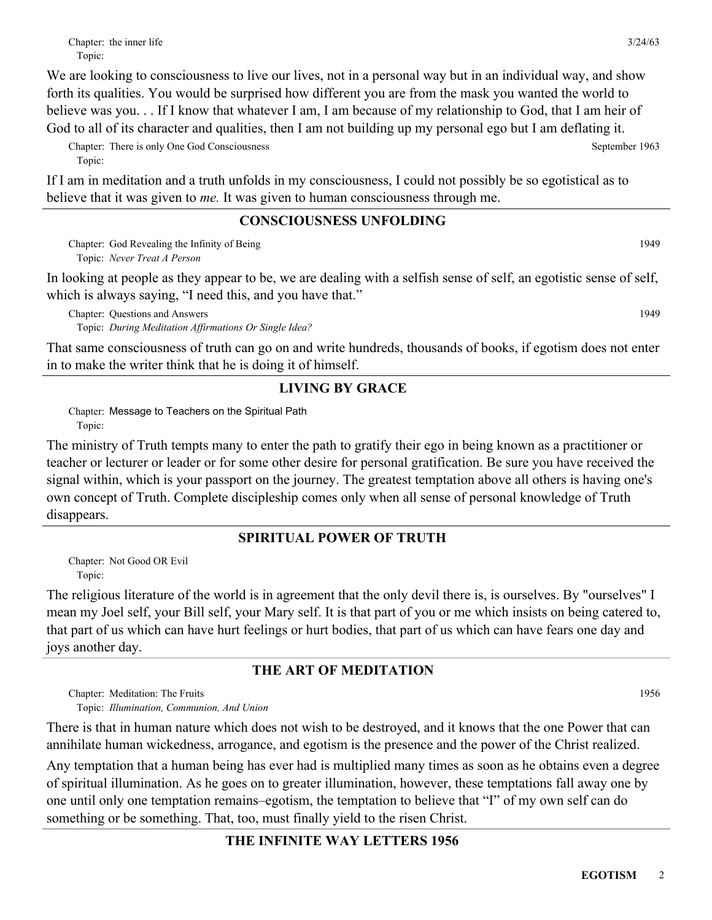We are looking to consciousness to live our lives, not in a personal way but in an individual way, and show forth its qualities. You would be surprised how different you are from the mask you wanted the world to believe was you. . . If I know that whatever I am, I am because of my relationship to God, that I am heir of God to all of its character and qualities, then I am not building up my personal ego but I am deflating it.

Chapter: There is only One God Consciousness September 1963 Topic:

If I am in meditation and a truth unfolds in my consciousness, I could not possibly be so egotistical as to believe that it was given to *me.* It was given to human consciousness through me.

### **CONSCIOUSNESS UNFOLDING**

Chapter: God Revealing the Infinity of Being and the Chapter of Being and the United States of the United States of the United States of the United States of the United States of the United States of the United States of t *Never Treat A Person* Topic:

In looking at people as they appear to be, we are dealing with a selfish sense of self, an egotistic sense of self, which is always saying, "I need this, and you have that."

Chapter: Questions and Answers **and Answers** 1949 *During Meditation Affirmations Or Single Idea?* Topic:

That same consciousness of truth can go on and write hundreds, thousands of books, if egotism does not enter in to make the writer think that he is doing it of himself.

## **LIVING BY GRACE**

Chapter: Message to Teachers on the Spiritual Path Topic:

The ministry of Truth tempts many to enter the path to gratify their ego in being known as a practitioner or teacher or lecturer or leader or for some other desire for personal gratification. Be sure you have received the signal within, which is your passport on the journey. The greatest temptation above all others is having one's own concept of Truth. Complete discipleship comes only when all sense of personal knowledge of Truth disappears.

## **SPIRITUAL POWER OF TRUTH**

Chapter: Not Good OR Evil Topic:

The religious literature of the world is in agreement that the only devil there is, is ourselves. By "ourselves" I mean my Joel self, your Bill self, your Mary self. It is that part of you or me which insists on being catered to, that part of us which can have hurt feelings or hurt bodies, that part of us which can have fears one day and joys another day.

# **THE ART OF MEDITATION**

Chapter: Meditation: The Fruits 1956

*Illumination, Communion, And Union* Topic:

There is that in human nature which does not wish to be destroyed, and it knows that the one Power that can annihilate human wickedness, arrogance, and egotism is the presence and the power of the Christ realized.

Any temptation that a human being has ever had is multiplied many times as soon as he obtains even a degree of spiritual illumination. As he goes on to greater illumination, however, these temptations fall away one by one until only one temptation remains–egotism, the temptation to believe that "I" of my own self can do something or be something. That, too, must finally yield to the risen Christ.